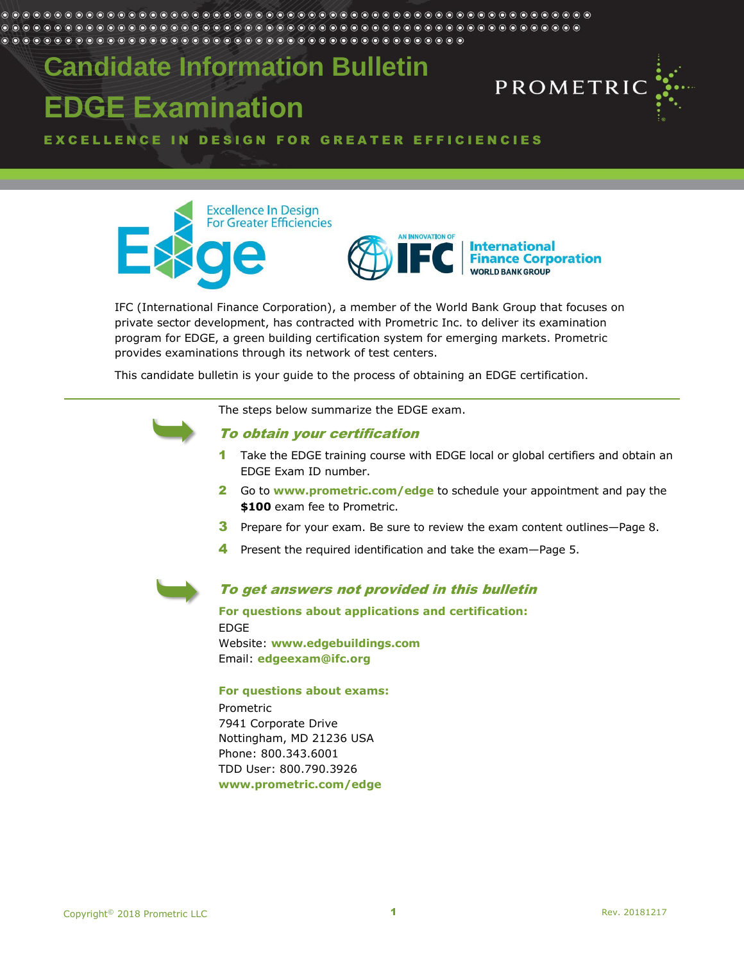#### 

# **Candidate Information Bulletin EDGE Examination**



EXCELLENCE IN DESIGN FOR GREATER EFFICIENCIES





IFC (International Finance Corporation), a member of the World Bank Group that focuses on private sector development, has contracted with Prometric Inc. to deliver its examination program for EDGE, a green building certification system for emerging markets. Prometric provides examinations through its network of test centers.

This candidate bulletin is your guide to the process of obtaining an EDGE certification.



#### The steps below summarize the EDGE exam.

## To obtain your certification

- 1 Take the EDGE training course with EDGE local or global certifiers and obtain an EDGE Exam ID number.
- 2 Go to **[www.prometric.com/edge](http://www.prometric.com/edge)** to schedule your appointment and pay the **\$100** exam fee to Prometric.
- 3 Prepare for your exam. Be sure to review the exam content outlines—Page 8.
- 4 Present the required identification and take the exam-Page 5.



# To get answers not provided in this bulletin

**For questions about applications and certification:** EDGE Website: **www.edgebuildings.com** Email: **[edgeexam@ifc.org](mailto:edgeexam@ifc.org)**

#### **For questions about exams:**

Prometric 7941 Corporate Drive Nottingham, MD 21236 USA Phone: 800.343.6001 TDD User: 800.790.3926 **www.prometric.com/edge**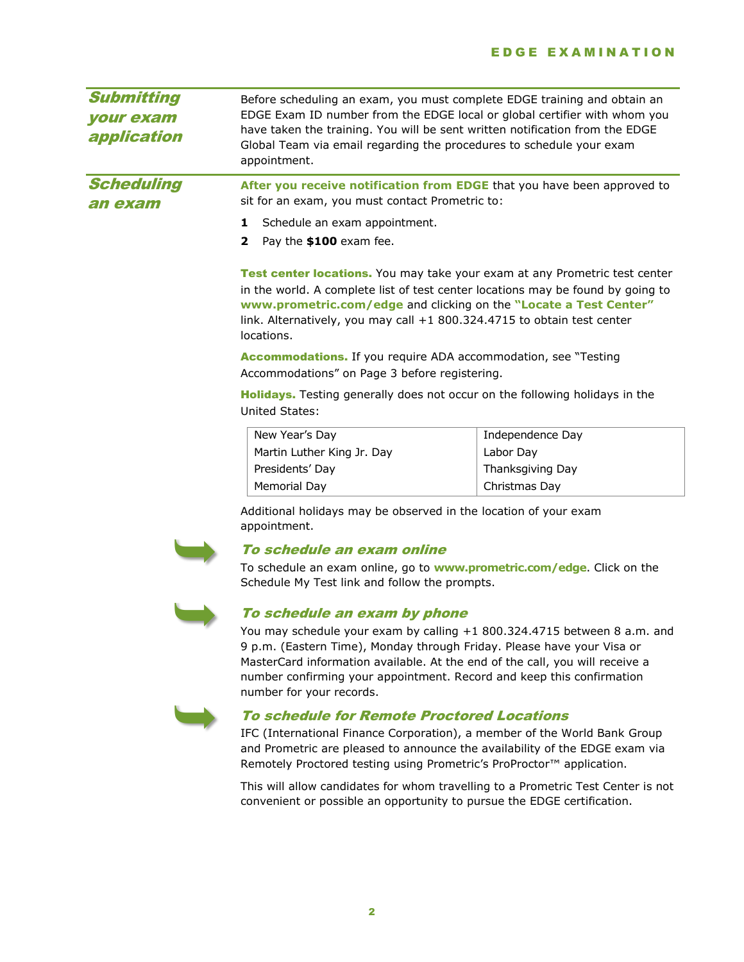| <b>Submitting</b><br><i><b>your exam</b></i><br>application | appointment.                                                                                                                                                                                                                                                                                                                | Before scheduling an exam, you must complete EDGE training and obtain an<br>EDGE Exam ID number from the EDGE local or global certifier with whom you<br>have taken the training. You will be sent written notification from the EDGE<br>Global Team via email regarding the procedures to schedule your exam |  |
|-------------------------------------------------------------|-----------------------------------------------------------------------------------------------------------------------------------------------------------------------------------------------------------------------------------------------------------------------------------------------------------------------------|---------------------------------------------------------------------------------------------------------------------------------------------------------------------------------------------------------------------------------------------------------------------------------------------------------------|--|
| <b>Scheduling</b><br>an exam                                | sit for an exam, you must contact Prometric to:                                                                                                                                                                                                                                                                             | After you receive notification from EDGE that you have been approved to                                                                                                                                                                                                                                       |  |
|                                                             | Schedule an exam appointment.<br>1                                                                                                                                                                                                                                                                                          |                                                                                                                                                                                                                                                                                                               |  |
|                                                             | Pay the \$100 exam fee.<br>$\mathbf{2}$                                                                                                                                                                                                                                                                                     |                                                                                                                                                                                                                                                                                                               |  |
|                                                             | Test center locations. You may take your exam at any Prometric test center<br>in the world. A complete list of test center locations may be found by going to<br>www.prometric.com/edge and clicking on the "Locate a Test Center"<br>link. Alternatively, you may call +1 800.324.4715 to obtain test center<br>locations. |                                                                                                                                                                                                                                                                                                               |  |
|                                                             | <b>Accommodations.</b> If you require ADA accommodation, see "Testing"<br>Accommodations" on Page 3 before registering.                                                                                                                                                                                                     |                                                                                                                                                                                                                                                                                                               |  |
|                                                             | <b>Holidays.</b> Testing generally does not occur on the following holidays in the<br>United States:                                                                                                                                                                                                                        |                                                                                                                                                                                                                                                                                                               |  |
|                                                             | New Year's Day                                                                                                                                                                                                                                                                                                              | Independence Day                                                                                                                                                                                                                                                                                              |  |
|                                                             | Martin Luther King Jr. Day                                                                                                                                                                                                                                                                                                  | Labor Day                                                                                                                                                                                                                                                                                                     |  |
|                                                             | Presidents' Day                                                                                                                                                                                                                                                                                                             | Thanksgiving Day                                                                                                                                                                                                                                                                                              |  |
|                                                             | Memorial Day                                                                                                                                                                                                                                                                                                                | Christmas Day                                                                                                                                                                                                                                                                                                 |  |
|                                                             | Additional holidays may be observed in the location of your exam                                                                                                                                                                                                                                                            |                                                                                                                                                                                                                                                                                                               |  |
|                                                             |                                                                                                                                                                                                                                                                                                                             |                                                                                                                                                                                                                                                                                                               |  |

appointment.



#### To schedule an exam online

To schedule an exam online, go to **www.prometric.com/edge**. Click on the Schedule My Test link and follow the prompts.



# To schedule an exam by phone

You may schedule your exam by calling +1 800.324.4715 between 8 a.m. and 9 p.m. (Eastern Time), Monday through Friday. Please have your Visa or MasterCard information available. At the end of the call, you will receive a number confirming your appointment. Record and keep this confirmation number for your records.



# To schedule for Remote Proctored Locations

IFC (International Finance Corporation), a member of the World Bank Group and Prometric are pleased to announce the availability of the EDGE exam via Remotely Proctored testing using Prometric's ProProctor™ application.

This will allow candidates for whom travelling to a Prometric Test Center is not convenient or possible an opportunity to pursue the EDGE certification.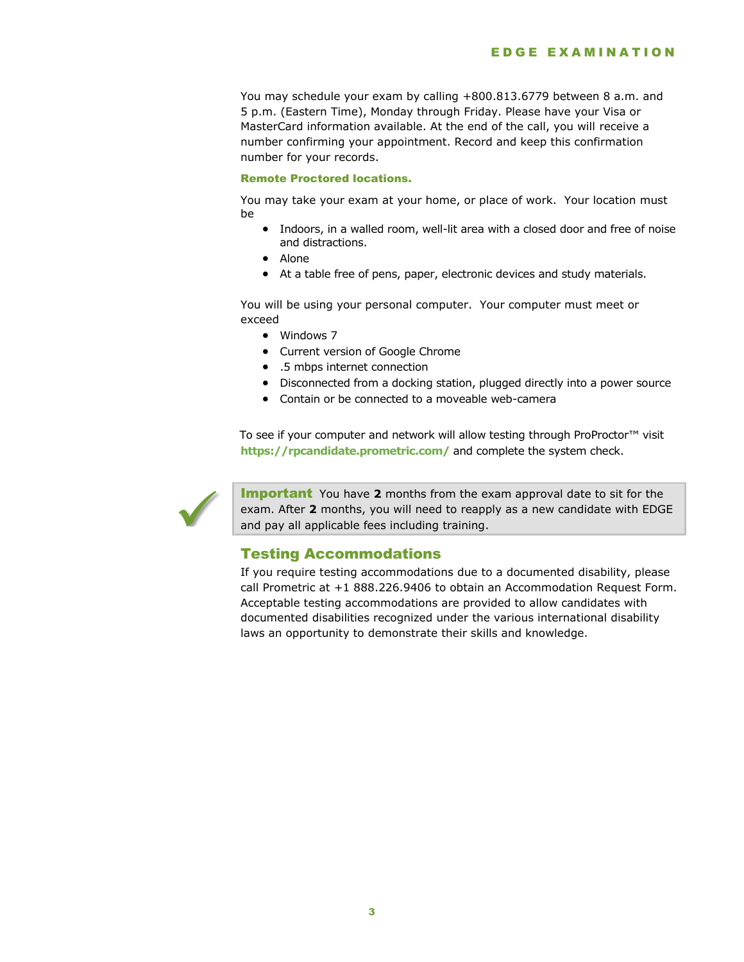You may schedule your exam by calling +800.813.6779 between 8 a.m. and 5 p.m. (Eastern Time), Monday through Friday. Please have your Visa or MasterCard information available. At the end of the call, you will receive a number confirming your appointment. Record and keep this confirmation number for your records.

#### Remote Proctored locations.

You may take your exam at your home, or place of work. Your location must be

- Indoors, in a walled room, well-lit area with a closed door and free of noise and distractions.
- Alone
- At a table free of pens, paper, electronic devices and study materials.

You will be using your personal computer. Your computer must meet or exceed

- Windows 7
- Current version of Google Chrome
- .5 mbps internet connection
- Disconnected from a docking station, plugged directly into a power source
- Contain or be connected to a moveable web-camera

To see if your computer and network will allow testing through ProProctor™ visit **https://rpcandidate.prometric.com/** and complete the system check.



Important You have **2** months from the exam approval date to sit for the exam. After **2** months, you will need to reapply as a new candidate with EDGE and pay all applicable fees including training.

#### Testing Accommodations

If you require testing accommodations due to a documented disability, please call Prometric at +1 888.226.9406 to obtain an Accommodation Request Form. Acceptable testing accommodations are provided to allow candidates with documented disabilities recognized under the various international disability laws an opportunity to demonstrate their skills and knowledge.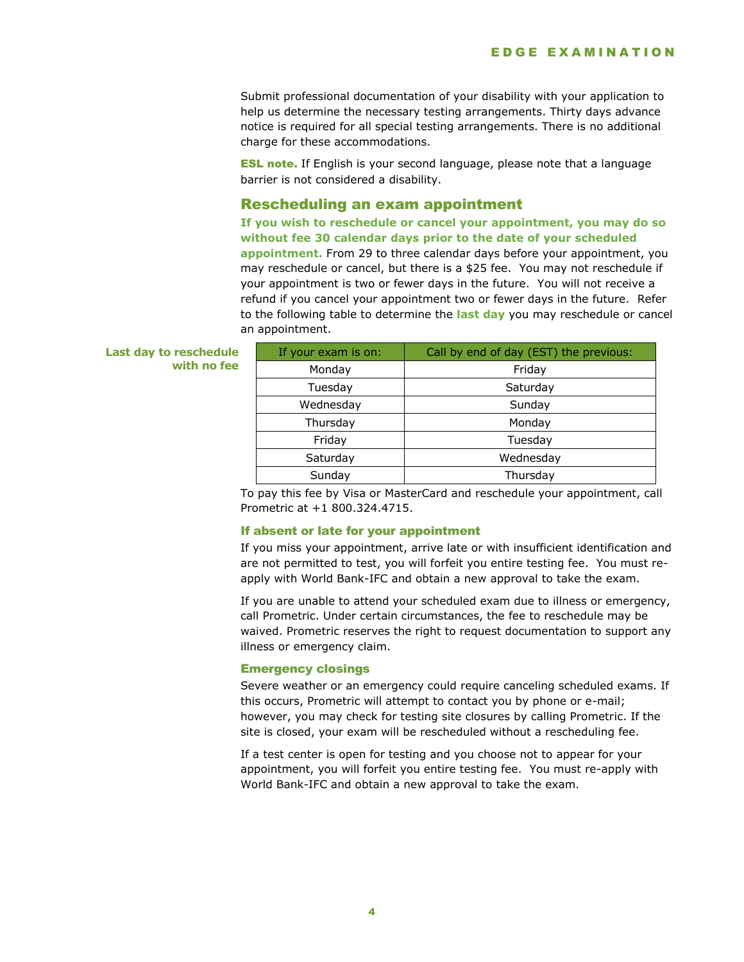Submit professional documentation of your disability with your application to help us determine the necessary testing arrangements. Thirty days advance notice is required for all special testing arrangements. There is no additional charge for these accommodations.

**ESL note.** If English is your second language, please note that a language barrier is not considered a disability.

#### Rescheduling an exam appointment

**If you wish to reschedule or cancel your appointment, you may do so without fee 30 calendar days prior to the date of your scheduled appointment.** From 29 to three calendar days before your appointment, you may reschedule or cancel, but there is a \$25 fee. You may not reschedule if your appointment is two or fewer days in the future. You will not receive a refund if you cancel your appointment two or fewer days in the future. Refer to the following table to determine the **last day** you may reschedule or cancel an appointment.

#### **Last day to reschedule with no fee**

| If your exam is on: | Call by end of day (EST) the previous: |
|---------------------|----------------------------------------|
| Monday              | Friday                                 |
| Tuesday             | Saturday                               |
| Wednesday           | Sunday                                 |
| Thursday            | Monday                                 |
| Friday              | Tuesday                                |
| Saturday            | Wednesday                              |
| Sunday              | Thursday                               |

To pay this fee by Visa or MasterCard and reschedule your appointment, call Prometric at +1 800.324.4715.

#### If absent or late for your appointment

If you miss your appointment, arrive late or with insufficient identification and are not permitted to test, you will forfeit you entire testing fee. You must reapply with World Bank-IFC and obtain a new approval to take the exam.

If you are unable to attend your scheduled exam due to illness or emergency, call Prometric. Under certain circumstances, the fee to reschedule may be waived. Prometric reserves the right to request documentation to support any illness or emergency claim.

#### Emergency closings

Severe weather or an emergency could require canceling scheduled exams. If this occurs, Prometric will attempt to contact you by phone or e-mail; however, you may check for testing site closures by calling Prometric. If the site is closed, your exam will be rescheduled without a rescheduling fee.

If a test center is open for testing and you choose not to appear for your appointment, you will forfeit you entire testing fee. You must re-apply with World Bank-IFC and obtain a new approval to take the exam.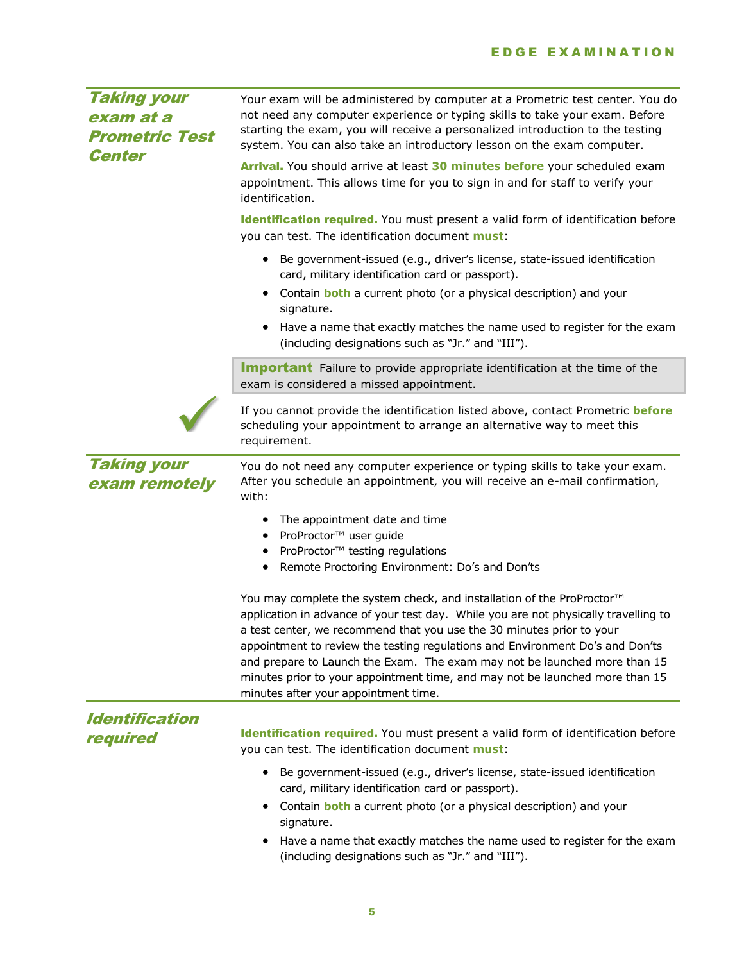| Taking your<br>exam at a<br><b>Prometric Test</b><br><b>Center</b> | Your exam will be administered by computer at a Prometric test center. You do<br>not need any computer experience or typing skills to take your exam. Before<br>starting the exam, you will receive a personalized introduction to the testing<br>system. You can also take an introductory lesson on the exam computer.<br>Arrival. You should arrive at least 30 minutes before your scheduled exam<br>appointment. This allows time for you to sign in and for staff to verify your<br>identification.<br>Identification required. You must present a valid form of identification before<br>you can test. The identification document must:<br>Be government-issued (e.g., driver's license, state-issued identification<br>$\bullet$<br>card, military identification card or passport). |  |
|--------------------------------------------------------------------|-----------------------------------------------------------------------------------------------------------------------------------------------------------------------------------------------------------------------------------------------------------------------------------------------------------------------------------------------------------------------------------------------------------------------------------------------------------------------------------------------------------------------------------------------------------------------------------------------------------------------------------------------------------------------------------------------------------------------------------------------------------------------------------------------|--|
|                                                                    | Contain <b>both</b> a current photo (or a physical description) and your<br>٠<br>signature.<br>Have a name that exactly matches the name used to register for the exam<br>(including designations such as "Jr." and "III").<br><b>Important</b> Failure to provide appropriate identification at the time of the                                                                                                                                                                                                                                                                                                                                                                                                                                                                              |  |
|                                                                    | exam is considered a missed appointment.<br>If you cannot provide the identification listed above, contact Prometric before<br>scheduling your appointment to arrange an alternative way to meet this<br>requirement.                                                                                                                                                                                                                                                                                                                                                                                                                                                                                                                                                                         |  |
| <b>Taking your</b><br>exam remotely                                | You do not need any computer experience or typing skills to take your exam.<br>After you schedule an appointment, you will receive an e-mail confirmation,<br>with:<br>The appointment date and time<br>ProProctor™ user guide<br>٠<br>ProProctor™ testing regulations<br>$\bullet$<br>Remote Proctoring Environment: Do's and Don'ts                                                                                                                                                                                                                                                                                                                                                                                                                                                         |  |
|                                                                    | You may complete the system check, and installation of the ProProctor <sup>™</sup><br>application in advance of your test day. While you are not physically travelling to<br>a test center, we recommend that you use the 30 minutes prior to your<br>appointment to review the testing regulations and Environment Do's and Don'ts<br>and prepare to Launch the Exam. The exam may not be launched more than 15<br>minutes prior to your appointment time, and may not be launched more than 15<br>minutes after your appointment time.                                                                                                                                                                                                                                                      |  |
| <b>Identification</b><br>required                                  | Identification required. You must present a valid form of identification before<br>you can test. The identification document must:<br>Be government-issued (e.g., driver's license, state-issued identification<br>$\bullet$<br>card, military identification card or passport).<br>Contain <b>both</b> a current photo (or a physical description) and your<br>٠<br>signature.<br>Have a name that exactly matches the name used to register for the exam<br>(including designations such as "Jr." and "III").                                                                                                                                                                                                                                                                               |  |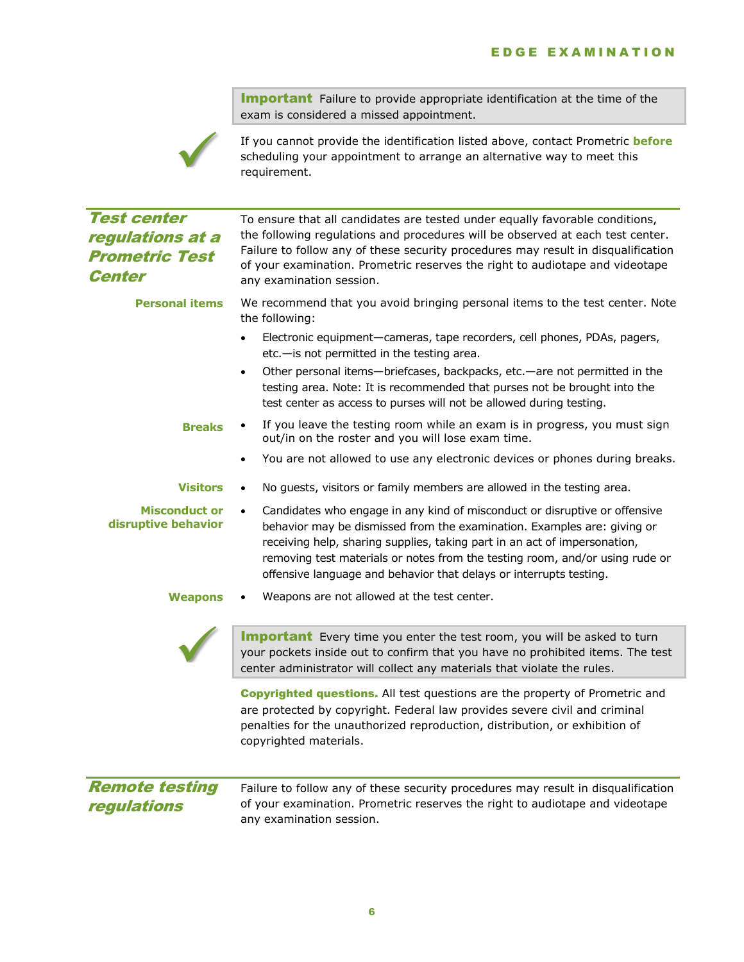**Important** Failure to provide appropriate identification at the time of the exam is considered a missed appointment.



If you cannot provide the identification listed above, contact Prometric **before** scheduling your appointment to arrange an alternative way to meet this requirement.

| <b>Test center</b><br><i>regulations at a</i><br><b>Prometric Test</b><br><b>Center</b> | To ensure that all candidates are tested under equally favorable conditions,<br>the following regulations and procedures will be observed at each test center.<br>Failure to follow any of these security procedures may result in disqualification<br>of your examination. Prometric reserves the right to audiotape and videotape<br>any examination session.                                       |  |
|-----------------------------------------------------------------------------------------|-------------------------------------------------------------------------------------------------------------------------------------------------------------------------------------------------------------------------------------------------------------------------------------------------------------------------------------------------------------------------------------------------------|--|
| <b>Personal items</b>                                                                   | We recommend that you avoid bringing personal items to the test center. Note<br>the following:                                                                                                                                                                                                                                                                                                        |  |
|                                                                                         | Electronic equipment-cameras, tape recorders, cell phones, PDAs, pagers,<br>$\bullet$<br>etc.-is not permitted in the testing area.                                                                                                                                                                                                                                                                   |  |
|                                                                                         | Other personal items-briefcases, backpacks, etc.-are not permitted in the<br>$\bullet$<br>testing area. Note: It is recommended that purses not be brought into the<br>test center as access to purses will not be allowed during testing.                                                                                                                                                            |  |
| <b>Breaks</b>                                                                           | If you leave the testing room while an exam is in progress, you must sign<br>out/in on the roster and you will lose exam time.                                                                                                                                                                                                                                                                        |  |
|                                                                                         | You are not allowed to use any electronic devices or phones during breaks.<br>$\bullet$                                                                                                                                                                                                                                                                                                               |  |
| <b>Visitors</b>                                                                         | No guests, visitors or family members are allowed in the testing area.                                                                                                                                                                                                                                                                                                                                |  |
| <b>Misconduct or</b><br>disruptive behavior                                             | Candidates who engage in any kind of misconduct or disruptive or offensive<br>$\bullet$<br>behavior may be dismissed from the examination. Examples are: giving or<br>receiving help, sharing supplies, taking part in an act of impersonation,<br>removing test materials or notes from the testing room, and/or using rude or<br>offensive language and behavior that delays or interrupts testing. |  |
| <b>Weapons</b>                                                                          | Weapons are not allowed at the test center.                                                                                                                                                                                                                                                                                                                                                           |  |
|                                                                                         | <b>Important</b> Every time you enter the test room, you will be asked to turn<br>your pockets inside out to confirm that you have no prohibited items. The test<br>center administrator will collect any materials that violate the rules.                                                                                                                                                           |  |
|                                                                                         | <b>Copyrighted questions.</b> All test questions are the property of Prometric and<br>are protected by copyright. Federal law provides severe civil and criminal<br>penalties for the unauthorized reproduction, distribution, or exhibition of<br>copyrighted materials.                                                                                                                             |  |
| <b>Remote testing</b><br>regulations                                                    | Failure to follow any of these security procedures may result in disqualification<br>of your examination. Prometric reserves the right to audiotape and videotape<br>any examination session.                                                                                                                                                                                                         |  |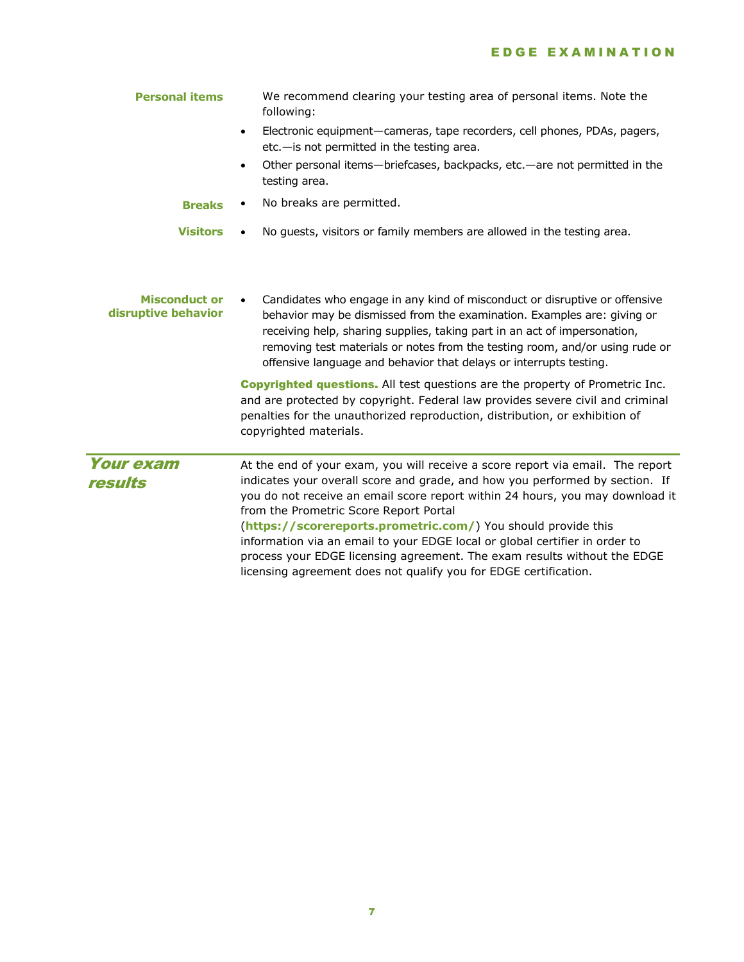| <b>Personal items</b>                       | We recommend clearing your testing area of personal items. Note the<br>following:                                                                                                                                                                                                                                                                                                                                                                                                                                                                                                         |
|---------------------------------------------|-------------------------------------------------------------------------------------------------------------------------------------------------------------------------------------------------------------------------------------------------------------------------------------------------------------------------------------------------------------------------------------------------------------------------------------------------------------------------------------------------------------------------------------------------------------------------------------------|
|                                             | Electronic equipment—cameras, tape recorders, cell phones, PDAs, pagers,<br>$\bullet$<br>etc.-is not permitted in the testing area.                                                                                                                                                                                                                                                                                                                                                                                                                                                       |
|                                             | Other personal items—briefcases, backpacks, etc.—are not permitted in the<br>$\bullet$<br>testing area.                                                                                                                                                                                                                                                                                                                                                                                                                                                                                   |
| <b>Breaks</b>                               | No breaks are permitted.                                                                                                                                                                                                                                                                                                                                                                                                                                                                                                                                                                  |
| <b>Visitors</b>                             | No guests, visitors or family members are allowed in the testing area.                                                                                                                                                                                                                                                                                                                                                                                                                                                                                                                    |
| <b>Misconduct or</b><br>disruptive behavior | Candidates who engage in any kind of misconduct or disruptive or offensive<br>behavior may be dismissed from the examination. Examples are: giving or<br>receiving help, sharing supplies, taking part in an act of impersonation,<br>removing test materials or notes from the testing room, and/or using rude or<br>offensive language and behavior that delays or interrupts testing.                                                                                                                                                                                                  |
|                                             | <b>Copyrighted questions.</b> All test questions are the property of Prometric Inc.<br>and are protected by copyright. Federal law provides severe civil and criminal<br>penalties for the unauthorized reproduction, distribution, or exhibition of<br>copyrighted materials.                                                                                                                                                                                                                                                                                                            |
| <b>Your exam</b><br>results                 | At the end of your exam, you will receive a score report via email. The report<br>indicates your overall score and grade, and how you performed by section. If<br>you do not receive an email score report within 24 hours, you may download it<br>from the Prometric Score Report Portal<br>(https://scorereports.prometric.com/) You should provide this<br>information via an email to your EDGE local or global certifier in order to<br>process your EDGE licensing agreement. The exam results without the EDGE<br>licensing agreement does not qualify you for EDGE certification. |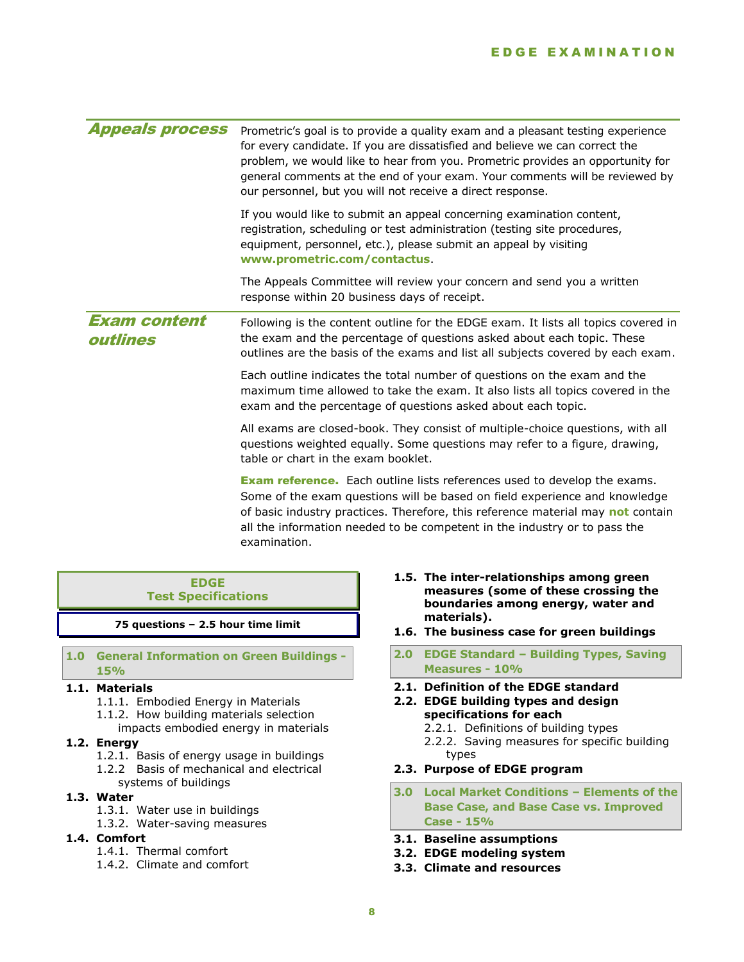#### E D G E E X A M I N A T I O N

| Prometric's goal is to provide a quality exam and a pleasant testing experience<br>for every candidate. If you are dissatisfied and believe we can correct the<br>problem, we would like to hear from you. Prometric provides an opportunity for<br>general comments at the end of your exam. Your comments will be reviewed by<br>our personnel, but you will not receive a direct response. |
|-----------------------------------------------------------------------------------------------------------------------------------------------------------------------------------------------------------------------------------------------------------------------------------------------------------------------------------------------------------------------------------------------|
| If you would like to submit an appeal concerning examination content,<br>registration, scheduling or test administration (testing site procedures,<br>equipment, personnel, etc.), please submit an appeal by visiting<br>www.prometric.com/contactus.                                                                                                                                        |
| The Appeals Committee will review your concern and send you a written<br>response within 20 business days of receipt.                                                                                                                                                                                                                                                                         |
| Following is the content outline for the EDGE exam. It lists all topics covered in<br>the exam and the percentage of questions asked about each topic. These<br>outlines are the basis of the exams and list all subjects covered by each exam.                                                                                                                                               |
| Each outline indicates the total number of questions on the exam and the<br>maximum time allowed to take the exam. It also lists all topics covered in the<br>exam and the percentage of questions asked about each topic.                                                                                                                                                                    |
| All exams are closed-book. They consist of multiple-choice questions, with all<br>questions weighted equally. Some questions may refer to a figure, drawing,<br>table or chart in the exam booklet.                                                                                                                                                                                           |
| <b>Exam reference.</b> Each outline lists references used to develop the exams.<br>Some of the exam questions will be based on field experience and knowledge<br>of basic industry practices. Therefore, this reference material may not contain<br>all the information needed to be competent in the industry or to pass the<br>examination.                                                 |
|                                                                                                                                                                                                                                                                                                                                                                                               |

#### **EDGE Test Specifications**

**75 questions – 2.5 hour time limit**

#### **1.0 General Information on Green Buildings - 15%**

## **1.1. Materials**

- 1.1.1. Embodied Energy in Materials
- 1.1.2. How building materials selection
	- impacts embodied energy in materials

#### **1.2. Energy**

- 1.2.1. Basis of energy usage in buildings
- 1.2.2 Basis of mechanical and electrical
- systems of buildings

# **1.3. Water**

- 1.3.1. Water use in buildings
- 1.3.2. Water-saving measures
- **1.4. Comfort**
	- 1.4.1. Thermal comfort
	- 1.4.2. Climate and comfort
- **1.5. The inter-relationships among green measures (some of these crossing the boundaries among energy, water and materials).**
- **1.6. The business case for green buildings**
- **2.0 EDGE Standard – Building Types, Saving Measures - 10%**
- **2.1. Definition of the EDGE standard**
- **2.2. EDGE building types and design specifications for each**
	- 2.2.1. Definitions of building types 2.2.2. Saving measures for specific building types
- **2.3. Purpose of EDGE program**
- **3.0 Local Market Conditions – Elements of the Base Case, and Base Case vs. Improved Case - 15%**
- **3.1. Baseline assumptions**
- **3.2. EDGE modeling system**
- **3.3. Climate and resources**